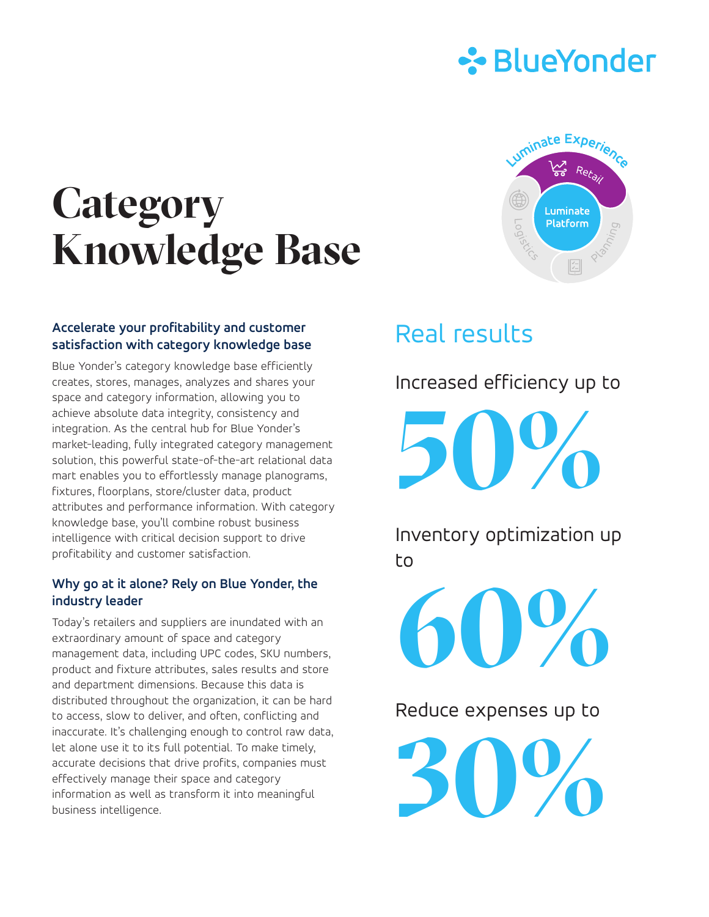

# **Category Knowledge Base**



Blue Yonder's category knowledge base efficiently creates, stores, manages, analyzes and shares your space and category information, allowing you to achieve absolute data integrity, consistency and integration. As the central hub for Blue Yonder's market-leading, fully integrated category management solution, this powerful state-of-the-art relational data mart enables you to effortlessly manage planograms, fixtures, floorplans, store/cluster data, product attributes and performance information. With category knowledge base, you'll combine robust business intelligence with critical decision support to drive profitability and customer satisfaction.

#### **Why go at it alone? Rely on Blue Yonder, the industry leader**

Today's retailers and suppliers are inundated with an extraordinary amount of space and category management data, including UPC codes, SKU numbers, product and fixture attributes, sales results and store and department dimensions. Because this data is distributed throughout the organization, it can be hard to access, slow to deliver, and often, conflicting and inaccurate. It's challenging enough to control raw data, let alone use it to its full potential. To make timely, accurate decisions that drive profits, companies must effectively manage their space and category information as well as transform it into meaningful business intelligence.



## Real results

Increased efficiency up to

**50%**

Inventory optimization up to

**60%**

Reduce expenses up to

**30%**